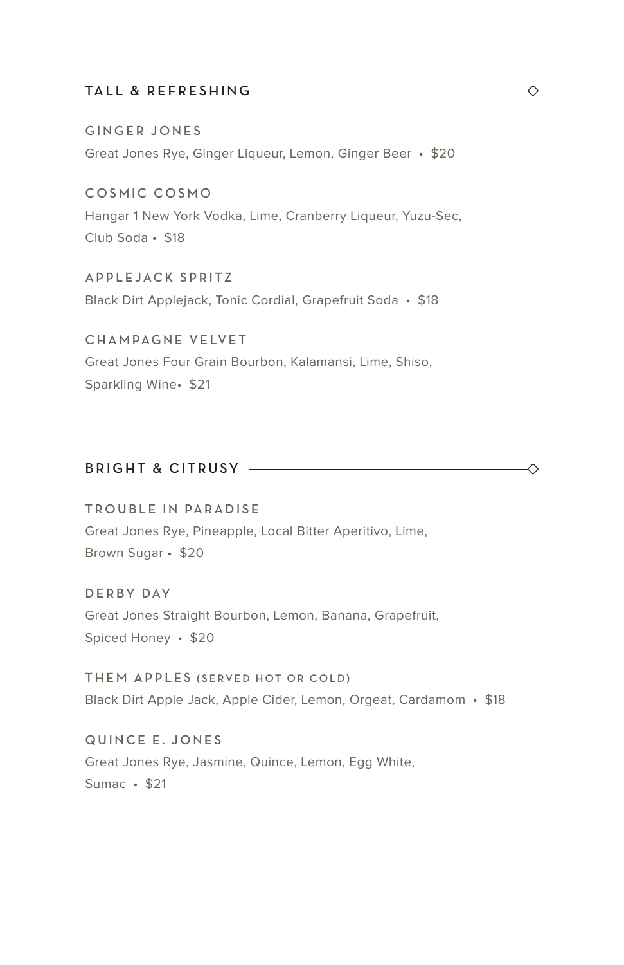#### TALL & REFRESHING

GINGER JONES Great Jones Rye, Ginger Liqueur, Lemon, Ginger Beer • \$20

COSMIC COSMO Hangar 1 New York Vodka, Lime, Cranberry Liqueur, Yuzu-Sec, Club Soda • \$18

APPLEJACK SPRITZ Black Dirt Applejack, Tonic Cordial, Grapefruit Soda • \$18

CHAMPAGNE VELVET Great Jones Four Grain Bourbon, Kalamansi, Lime, Shiso, Sparkling Wine• \$21

### BRIGHT & CITRUSY

TROUBLE IN PARADISE Great Jones Rye, Pineapple, Local Bitter Aperitivo, Lime, Brown Sugar • \$20

D E R BY DAY Great Jones Straight Bourbon, Lemon, Banana, Grapefruit, Spiced Honey • \$20

THEM APPLES (SERVED HOT OR COLD) Black Dirt Apple Jack, Apple Cider, Lemon, Orgeat, Cardamom • \$18

QUINCE E. JONES Great Jones Rye, Jasmine, Quince, Lemon, Egg White, Sumac • \$21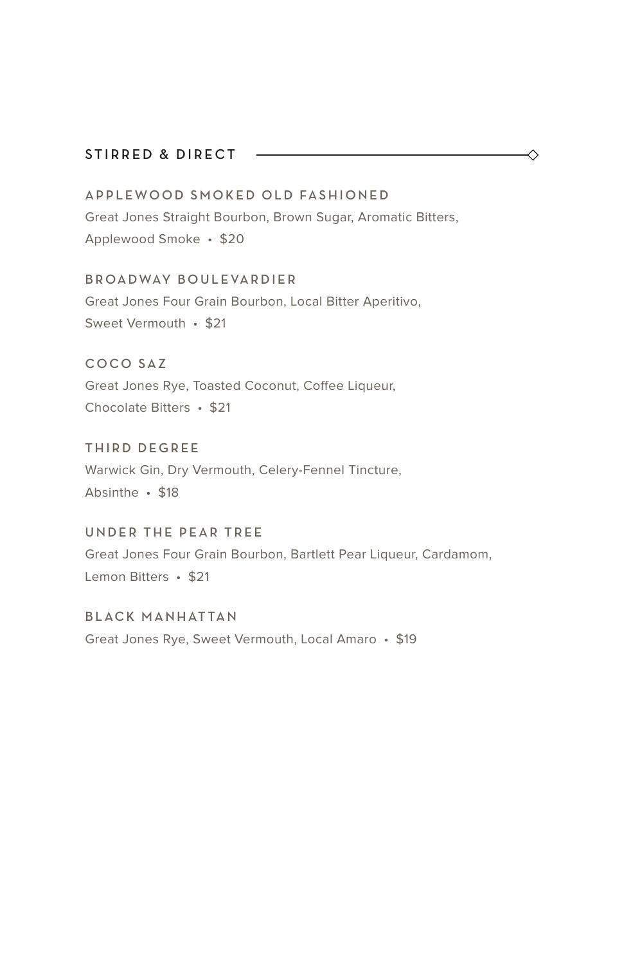#### STIRRED & DIRECT -

APPLEWOOD SMOKED OLD FASHIONED Great Jones Straight Bourbon, Brown Sugar, Aromatic Bitters, Applewood Smoke • \$20

◇

#### B R OA D WAY BOULE VARDIER

Great Jones Four Grain Bourbon, Local Bitter Aperitivo, Sweet Vermouth • \$21

COCO SAZ

Great Jones Rye, Toasted Coconut, Coffee Liqueur, Chocolate Bitters • \$21

THIRD DEGREE Warwick Gin, Dry Vermouth, Celery-Fennel Tincture, Absinthe • \$18

UNDER THE PEAR TREE Great Jones Four Grain Bourbon, Bartlett Pear Liqueur, Cardamom, Lemon Bitters • \$21

BLACK MANHATTAN Great Jones Rye, Sweet Vermouth, Local Amaro • \$19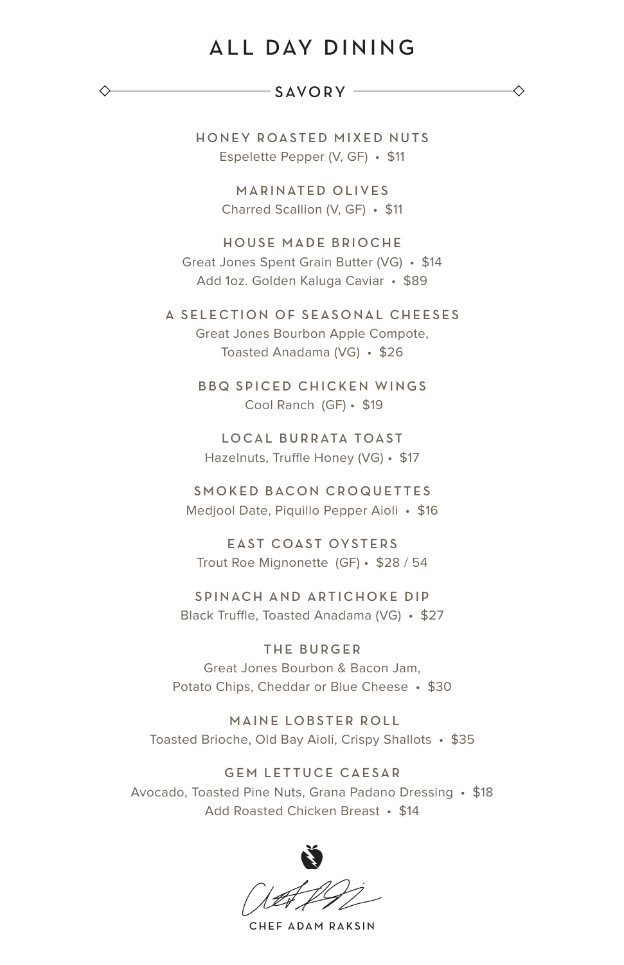# ALL DAY DINING

#### $-SAVORY -$

◇

HONEY ROASTED MIXED NUTS Espelette Pepper (V, GF) • \$11

> MARINATED OLIVES Charred Scallion (V, GF) • \$11

HOUSE MADE BRIOCHE Great Jones Spent Grain Butter (VG) • \$14 Add 1oz. Golden Kaluga Caviar • \$89

A SELECTION OF SEASONAL CHEESES Great Jones Bourbon Apple Compote, Toasted Anadama (VG) • \$26

> BBQ SPICED CHICKEN WINGS Cool Ranch (GF) • \$19

LOCAL BURRATA TOAST Hazelnuts, Truffle Honey (VG) • \$17

SMOKED BACON CROQUETTES Medjool Date, Piquillo Pepper Aioli • \$16

EAST COAST OYSTERS Trout Roe Mignonette (GF) • \$28 / 54

S P IN ACH AND ARTICHOKE DIP Black Truffle, Toasted Anadama (VG) • \$27

THE BURGER Great Jones Bourbon & Bacon Jam, Potato Chips, Cheddar or Blue Cheese • \$30

 MAINE LOBSTER ROLL Toasted Brioche, Old Bay Aioli, Crispy Shallots • \$35

GEM LETTUCE CAESAR Avocado, Toasted Pine Nuts, Grana Padano Dressing • \$18 Add Roasted Chicken Breast • \$14



CHEF ADAM RAKSIN